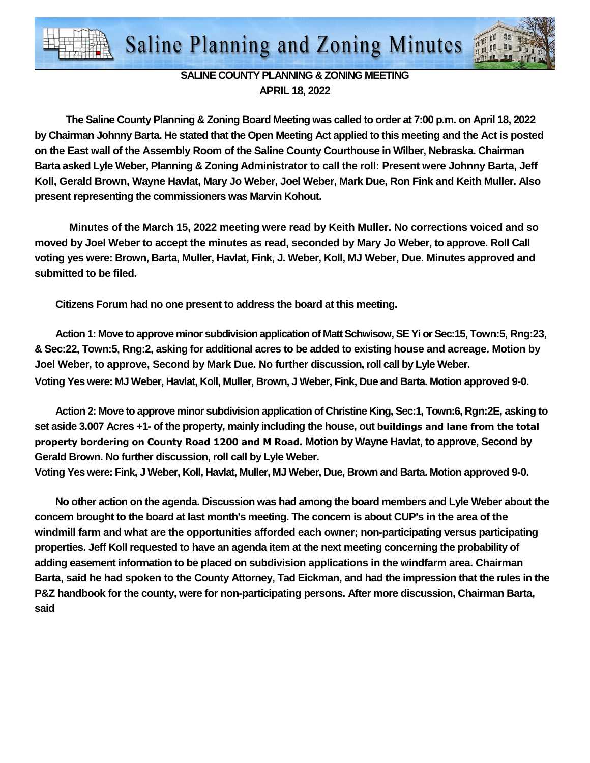

## **SALINE COUNTY PLANNING & ZONING MEETING APRIL 18, 2022**

**The Saline County Planning & Zoning Board Meeting was called to order at 7:00 p.m. on April 18, 2022 by Chairman Johnny Barta. He stated that the Open Meeting Act applied to this meeting and the Act is posted on the East wall of the Assembly Room of the Saline County Courthouse in Wilber, Nebraska. Chairman Barta asked Lyle Weber, Planning & Zoning Administrator to call the roll: Present were Johnny Barta, Jeff Koll, Gerald Brown, Wayne Havlat, Mary Jo Weber, Joel Weber, Mark Due, Ron Fink and Keith Muller. Also present representing the commissioners was Marvin Kohout.** 

**Minutes of the March 15, 2022 meeting were read by Keith Muller. No corrections voiced and so moved by Joel Weber to accept the minutes as read, seconded by Mary Jo Weber, to approve. Roll Call voting yes were: Brown, Barta, Muller, Havlat, Fink, J. Weber, Koll, MJ Weber, Due. Minutes approved and submitted to be filed.** 

**Citizens Forum had no one present to address the board at this meeting.** 

**Action 1: Move to approve minor subdivision application of Matt Schwisow, SE Yi or Sec:15, Town:5, Rng:23, & Sec:22, Town:5, Rng:2, asking for additional acres to be added to existing house and acreage. Motion by Joel Weber, to approve, Second by Mark Due. No further discussion, roll call by Lyle Weber. Voting Yes were: MJ Weber, Havlat, Koll, Muller, Brown, J Weber, Fink, Due and Barta. Motion approved 9-0.** 

**Action 2: Move to approve minor subdivision application of Christine King, Sec:1, Town:6, Rgn:2E, asking to set aside 3.007 Acres +1- of the property, mainly including the house, out buildings and lane from the total property bordering on County Road 1200 and M Road. Motion by Wayne Havlat, to approve, Second by Gerald Brown. No further discussion, roll call by Lyle Weber.** 

**Voting Yes were: Fink, J Weber, Koll, Havlat, Muller, MJ Weber, Due, Brown and Barta. Motion approved 9-0.** 

**No other action on the agenda. Discussion was had among the board members and Lyle Weber about the concern brought to the board at last month's meeting. The concern is about CUP's in the area of the windmill farm and what are the opportunities afforded each owner; non-participating versus participating properties. Jeff Koll requested to have an agenda item at the next meeting concerning the probability of adding easement information to be placed on subdivision applications in the windfarm area. Chairman Barta, said he had spoken to the County Attorney, Tad Eickman, and had the impression that the rules in the P&Z handbook for the county, were for non-participating persons. After more discussion, Chairman Barta, said**